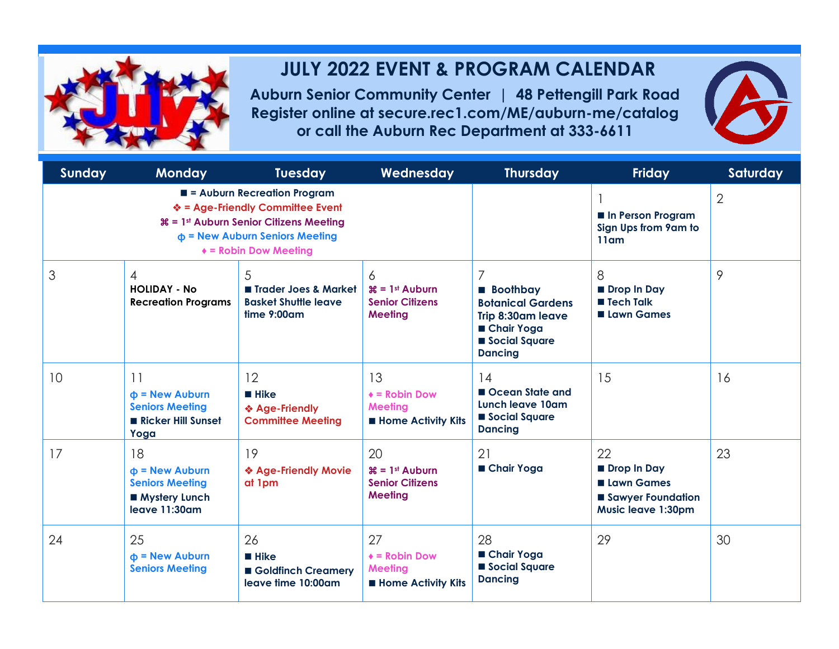

## **JULY 2022 EVENT & PROGRAM CALENDAR**

**Auburn Senior Community Center | 48 Pettengill Park Road Register online at secure.rec1.com/ME/auburn-me/catalog or call the Auburn Rec Department at 333-6611**



| <b>Sunday</b> | <b>Monday</b>                                                                           | <b>Tuesday</b>                                                                                                                                                                                                              | Wednesday                                                                               | <b>Thursday</b>                                                                                                          | <b>Friday</b>                                                                            | Saturday |
|---------------|-----------------------------------------------------------------------------------------|-----------------------------------------------------------------------------------------------------------------------------------------------------------------------------------------------------------------------------|-----------------------------------------------------------------------------------------|--------------------------------------------------------------------------------------------------------------------------|------------------------------------------------------------------------------------------|----------|
|               |                                                                                         | $\blacksquare$ = Auburn Recreation Program<br>❖ = Age-Friendly Committee Event<br><b><math>\mathcal{H} = 1</math>st Auburn Senior Citizens Meeting</b><br>$\Phi$ = New Auburn Seniors Meeting<br>$\ast$ = Robin Dow Meeting |                                                                                         | In Person Program<br>Sign Ups from 9am to<br>11 <sub>am</sub>                                                            | $\overline{2}$                                                                           |          |
| 3             | $\overline{4}$<br><b>HOLIDAY - No</b><br><b>Recreation Programs</b>                     | 5<br>Trader Joes & Market<br><b>Basket Shuttle leave</b><br>$time 9:00$ am                                                                                                                                                  | 6<br>$\mathcal{H} = 1$ <sup>st</sup> Auburn<br><b>Senior Citizens</b><br><b>Meeting</b> | 7<br><b>Boothbay</b><br><b>Botanical Gardens</b><br>Trip 8:30am leave<br>■ Chair Yoga<br>Social Square<br><b>Dancing</b> | 8<br>Drop In Day<br>■ Tech Talk<br><b>Lawn Games</b>                                     | 9        |
| 10            | 11<br>$\Phi$ = New Auburn<br><b>Seniors Meeting</b><br>Ricker Hill Sunset<br>Yoga       | 12<br>$\blacksquare$ Hike<br>❖ Age-Friendly<br><b>Committee Meeting</b>                                                                                                                                                     | 13<br>$\triangle$ = Robin Dow<br><b>Meeting</b><br><b>Home Activity Kits</b>            | 14<br>Ocean State and<br>Lunch leave 10am<br>Social Square<br><b>Dancing</b>                                             | 15                                                                                       | 16       |
| 17            | 18<br>$\Phi$ = New Auburn<br><b>Seniors Meeting</b><br>■ Mystery Lunch<br>leave 11:30am | 19<br>❖ Age-Friendly Movie<br>at 1pm                                                                                                                                                                                        | 20<br>$\mathcal{H} = 1$ st Auburn<br><b>Senior Citizens</b><br><b>Meeting</b>           | 21<br>■ Chair Yoga                                                                                                       | 22<br>Drop In Day<br><b>Lawn Games</b><br>Sawyer Foundation<br><b>Music leave 1:30pm</b> | 23       |
| 24            | 25<br>$\Phi$ = New Auburn<br><b>Seniors Meeting</b>                                     | 26<br><b>Hike</b><br>Goldfinch Creamery<br>leave time 10:00am                                                                                                                                                               | 27<br>$\triangle$ = Robin Dow<br><b>Meeting</b><br><b>Home Activity Kits</b>            | 28<br>■ Chair Yoga<br>Social Square<br><b>Dancing</b>                                                                    | 29                                                                                       | 30       |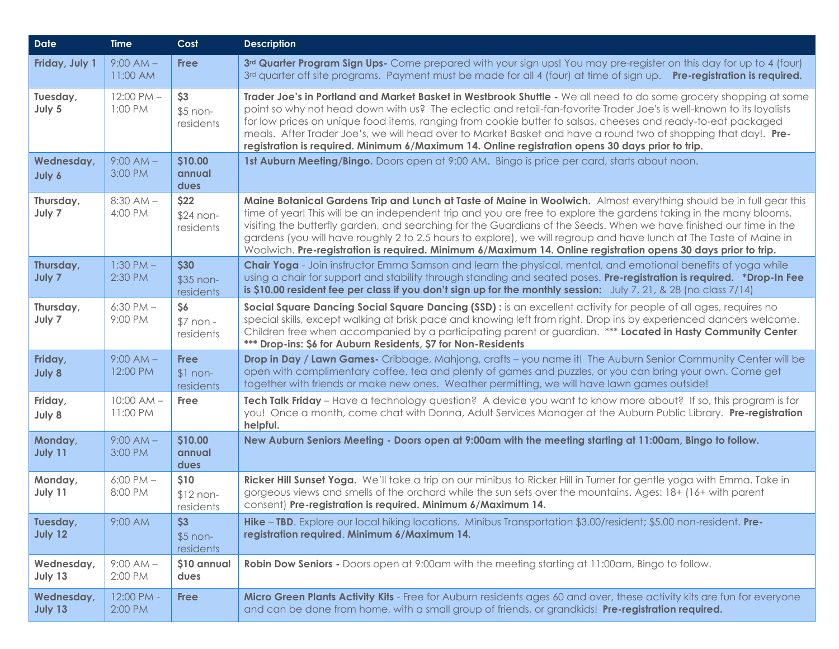| <b>Date</b>           | <b>Time</b>                | Cost                                  | <b>Description</b>                                                                                                                                                                                                                                                                                                                                                                                                                                                                                                                                                                                     |  |
|-----------------------|----------------------------|---------------------------------------|--------------------------------------------------------------------------------------------------------------------------------------------------------------------------------------------------------------------------------------------------------------------------------------------------------------------------------------------------------------------------------------------------------------------------------------------------------------------------------------------------------------------------------------------------------------------------------------------------------|--|
| Friday, July 1        | $9:00 AM -$<br>11:00 AM    | <b>Free</b>                           | 3rd Quarter Program Sign Ups- Come prepared with your sign ups! You may pre-register on this day for up to 4 (four)<br>3rd quarter off site programs. Payment must be made for all 4 (four) at time of sign up. Pre-registration is required.                                                                                                                                                                                                                                                                                                                                                          |  |
| Tuesday,<br>July 5    | $12:00$ PM $-$<br>1:00 PM  | \$3<br>$$5$ non-<br>residents         | Trader Joe's in Portland and Market Basket in Westbrook Shuttle - We all need to do some grocery shopping at some<br>point so why not head down with us? The eclectic and retail-fan-favorite Trader Joe's is well-known to its loyalists<br>for low prices on unique food items, ranging from cookie butter to salsas, cheeses and ready-to-eat packaged<br>meals. After Trader Joe's, we will head over to Market Basket and have a round two of shopping that day!. Pre-<br>registration is required. Minimum 6/Maximum 14. Online registration opens 30 days prior to trip.                        |  |
| Wednesday,<br>July 6  | $9:00 AM -$<br>3:00 PM     | \$10.00<br>annual<br>dues             | 1st Auburn Meeting/Bingo. Doors open at 9:00 AM. Bingo is price per card, starts about noon.                                                                                                                                                                                                                                                                                                                                                                                                                                                                                                           |  |
| Thursday,<br>July 7   | $8:30$ AM $-$<br>4:00 PM   | \$22<br>\$24 non-<br>residents        | Maine Botanical Gardens Trip and Lunch at Taste of Maine in Woolwich. Almost everything should be in full gear this<br>time of year! This will be an independent trip and you are free to explore the gardens taking in the many blooms,<br>visiting the butterfly garden, and searching for the Guardians of the Seeds. When we have finished our time in the<br>gardens (you will have roughly 2 to 2.5 hours to explore), we will regroup and have lunch at The Taste of Maine in<br>Woolwich. Pre-registration is required. Minimum 6/Maximum 14. Online registration opens 30 days prior to trip. |  |
| Thursday,<br>July 7   | $1:30$ PM $-$<br>2:30 PM   | \$30<br>\$35 non-<br>residents        | Chair Yoga - Join instructor Emma Samson and learn the physical, mental, and emotional benefits of yoga while<br>using a chair for support and stability through standing and seated poses. Pre-registration is required. *Drop-In Fee<br>is \$10.00 resident fee per class if you don't sign up for the monthly session: $July 7, 21, 8, 28$ (no class $7/14$ )                                                                                                                                                                                                                                       |  |
| Thursday,<br>July 7   | $6:30$ PM $-$<br>9:00 PM   | \$6<br>$$7$ non -<br>residents        | Social Square Dancing Social Square Dancing (SSD) : is an excellent activity for people of all ages, requires no<br>special skills, except walking at brisk pace and knowing left from right. Drop ins by experienced dancers welcome.<br>Children free when accompanied by a participating parent or guardian. *** Located in Hasty Community Center<br>*** Drop-ins: \$6 for Auburn Residents, \$7 for Non-Residents                                                                                                                                                                                 |  |
| Friday,<br>July 8     | $9:00 AM -$<br>12:00 PM    | <b>Free</b><br>$$1 non-$<br>residents | Drop in Day / Lawn Games- Cribbage, Mahjong, crafts - you name it! The Auburn Senior Community Center will be<br>open with complimentary coffee, tea and plenty of games and puzzles, or you can bring your own. Come get<br>together with friends or make new ones. Weather permitting, we will have lawn games outside!                                                                                                                                                                                                                                                                              |  |
| Friday,<br>July 8     | $10:00$ AM $-$<br>11:00 PM | Free                                  | Tech Talk Friday – Have a technology question? A device you want to know more about? If so, this program is for<br>you! Once a month, come chat with Donna, Adult Services Manager at the Auburn Public Library. Pre-registration<br>helpful.                                                                                                                                                                                                                                                                                                                                                          |  |
| Monday,<br>July 11    | $9:00 AM -$<br>3:00 PM     | \$10.00<br>annual<br>dues             | New Auburn Seniors Meeting - Doors open at 9:00am with the meeting starting at 11:00am, Bingo to follow.                                                                                                                                                                                                                                                                                                                                                                                                                                                                                               |  |
| Monday,<br>July 11    | $6:00$ PM $-$<br>8:00 PM   | \$10<br>$$12 non-$<br>residents       | Ricker Hill Sunset Yoga. We'll take a trip on our minibus to Ricker Hill in Turner for gentle yoga with Emma. Take in<br>gorgeous views and smells of the orchard while the sun sets over the mountains. Ages: 18+ (16+ with parent<br>consent) Pre-registration is required. Minimum 6/Maximum 14.                                                                                                                                                                                                                                                                                                    |  |
| Tuesday,<br>July 12   | 9:00 AM                    | \$3<br>$$5$ non-<br>residents         | Hike - TBD. Explore our local hiking locations. Minibus Transportation \$3.00/resident; \$5.00 non-resident. Pre-<br>registration required. Minimum 6/Maximum 14.                                                                                                                                                                                                                                                                                                                                                                                                                                      |  |
| Wednesday,<br>July 13 | $9:00 AM -$<br>2:00 PM     | \$10 annual<br>dues                   | Robin Dow Seniors - Doors open at 9:00am with the meeting starting at 11:00am, Bingo to follow.                                                                                                                                                                                                                                                                                                                                                                                                                                                                                                        |  |
| Wednesday,<br>July 13 | 12:00 PM -<br>2:00 PM      | <b>Free</b>                           | Micro Green Plants Activity Kits - Free for Auburn residents ages 60 and over, these activity kits are fun for everyone<br>and can be done from home, with a small group of friends, or grandkids! Pre-registration required.                                                                                                                                                                                                                                                                                                                                                                          |  |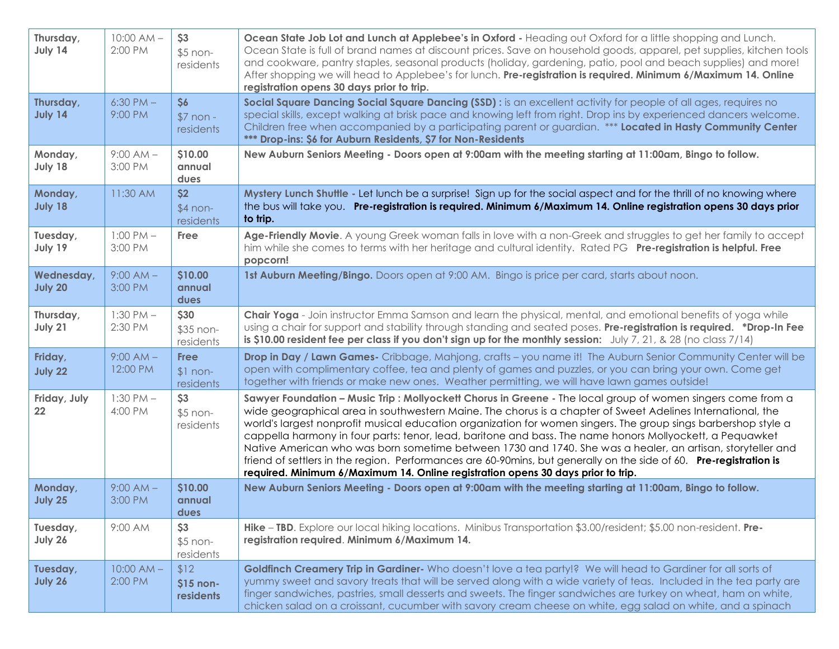| Thursday,<br>July 14  | $10:00 AM -$<br>2:00 PM  | \$3<br>$$5$ non-<br>residents         | Ocean State Job Lot and Lunch at Applebee's in Oxford - Heading out Oxford for a little shopping and Lunch.<br>Ocean State is full of brand names at discount prices. Save on household goods, apparel, pet supplies, kitchen tools<br>and cookware, pantry staples, seasonal products (holiday, gardening, patio, pool and beach supplies) and more!<br>After shopping we will head to Applebee's for lunch. Pre-registration is required. Minimum 6/Maximum 14. Online<br>registration opens 30 days prior to trip.                                                                                                                                                                                                                                                            |  |
|-----------------------|--------------------------|---------------------------------------|----------------------------------------------------------------------------------------------------------------------------------------------------------------------------------------------------------------------------------------------------------------------------------------------------------------------------------------------------------------------------------------------------------------------------------------------------------------------------------------------------------------------------------------------------------------------------------------------------------------------------------------------------------------------------------------------------------------------------------------------------------------------------------|--|
| Thursday,<br>July 14  | $6:30$ PM $-$<br>9:00 PM | \$6<br>$$7$ non -<br>residents        | Social Square Dancing Social Square Dancing (SSD) : is an excellent activity for people of all ages, requires no<br>special skills, except walking at brisk pace and knowing left from right. Drop ins by experienced dancers welcome.<br>Children free when accompanied by a participating parent or guardian. *** Located in Hasty Community Center<br>*** Drop-ins: \$6 for Auburn Residents, \$7 for Non-Residents                                                                                                                                                                                                                                                                                                                                                           |  |
| Monday,<br>July 18    | $9:00 AM -$<br>3:00 PM   | \$10.00<br>annual<br>dues             | New Auburn Seniors Meeting - Doors open at 9:00am with the meeting starting at 11:00am, Bingo to follow.                                                                                                                                                                                                                                                                                                                                                                                                                                                                                                                                                                                                                                                                         |  |
| Monday,<br>July 18    | 11:30 AM                 | \$2<br>$$4$ non-<br>residents         | Mystery Lunch Shuttle - Let lunch be a surprise! Sign up for the social aspect and for the thrill of no knowing where<br>the bus will take you. Pre-registration is required. Minimum 6/Maximum 14. Online registration opens 30 days prior<br>to trip.                                                                                                                                                                                                                                                                                                                                                                                                                                                                                                                          |  |
| Tuesday,<br>July 19   | $1:00$ PM $-$<br>3:00 PM | Free                                  | Age-Friendly Movie. A young Greek woman falls in love with a non-Greek and struggles to get her family to accept<br>him while she comes to terms with her heritage and cultural identity. Rated PG Pre-registration is helpful. Free<br>popcorn!                                                                                                                                                                                                                                                                                                                                                                                                                                                                                                                                 |  |
| Wednesday,<br>July 20 | $9:00 AM -$<br>3:00 PM   | \$10.00<br>annual<br>dues             | 1st Auburn Meeting/Bingo. Doors open at 9:00 AM. Bingo is price per card, starts about noon.                                                                                                                                                                                                                                                                                                                                                                                                                                                                                                                                                                                                                                                                                     |  |
| Thursday,<br>July 21  | $1:30$ PM $-$<br>2:30 PM | \$30<br>\$35 non-<br>residents        | Chair Yoga - Join instructor Emma Samson and learn the physical, mental, and emotional benefits of yoga while<br>using a chair for support and stability through standing and seated poses. Pre-registration is required. *Drop-In Fee<br>is \$10.00 resident fee per class if you don't sign up for the monthly session: July 7, 21, & 28 (no class $7/14$ )                                                                                                                                                                                                                                                                                                                                                                                                                    |  |
| Friday,<br>July 22    | $9:00 AM -$<br>12:00 PM  | <b>Free</b><br>$$1$ non-<br>residents | Drop in Day / Lawn Games- Cribbage, Mahjong, crafts - you name it! The Auburn Senior Community Center will be<br>open with complimentary coffee, tea and plenty of games and puzzles, or you can bring your own. Come get<br>together with friends or make new ones. Weather permitting, we will have lawn games outside!                                                                                                                                                                                                                                                                                                                                                                                                                                                        |  |
| Friday, July<br>22    | $1:30$ PM $-$<br>4:00 PM | \$3<br>$$5$ non-<br>residents         | Sawyer Foundation - Music Trip : Mollyockett Chorus in Greene - The local group of women singers come from a<br>wide geographical area in southwestern Maine. The chorus is a chapter of Sweet Adelines International, the<br>world's largest nonprofit musical education organization for women singers. The group sings barbershop style a<br>cappella harmony in four parts: tenor, lead, baritone and bass. The name honors Mollyockett, a Pequawket<br>Native American who was born sometime between 1730 and 1740. She was a healer, an artisan, storyteller and<br>friend of settlers in the region. Performances are 60-90mins, but generally on the side of 60. Pre-registration is<br>required. Minimum 6/Maximum 14. Online registration opens 30 days prior to trip. |  |
| Monday,<br>July 25    | $9:00$ AM $-$<br>3:00 PM | \$10.00<br>annual<br>dues             | New Auburn Seniors Meeting - Doors open at 9:00am with the meeting starting at 11:00am, Bingo to follow.                                                                                                                                                                                                                                                                                                                                                                                                                                                                                                                                                                                                                                                                         |  |
| Tuesday,<br>July 26   | 9:00 AM                  | \$3<br>$$5$ non-<br>residents         | Hike - TBD. Explore our local hiking locations. Minibus Transportation \$3.00/resident; \$5.00 non-resident. Pre-<br>registration required. Minimum 6/Maximum 14.                                                                                                                                                                                                                                                                                                                                                                                                                                                                                                                                                                                                                |  |
| Tuesday,<br>July 26   | $10:00 AM -$<br>2:00 PM  | \$12<br>$$15$ non-<br>residents       | Goldfinch Creamery Trip in Gardiner-Who doesn't love a tea party!? We will head to Gardiner for all sorts of<br>yummy sweet and savory treats that will be served along with a wide variety of teas. Included in the tea party are<br>finger sandwiches, pastries, small desserts and sweets. The finger sandwiches are turkey on wheat, ham on white,<br>chicken salad on a croissant, cucumber with savory cream cheese on white, egg salad on white, and a spinach                                                                                                                                                                                                                                                                                                            |  |